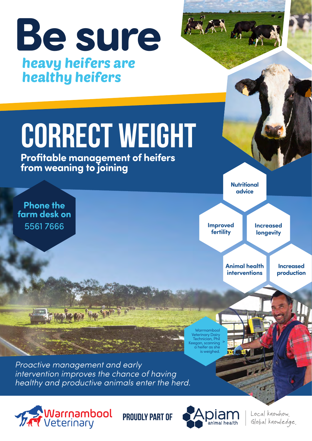

**PROUDLY PART OF** 





Local knowhow. Global knowledge.